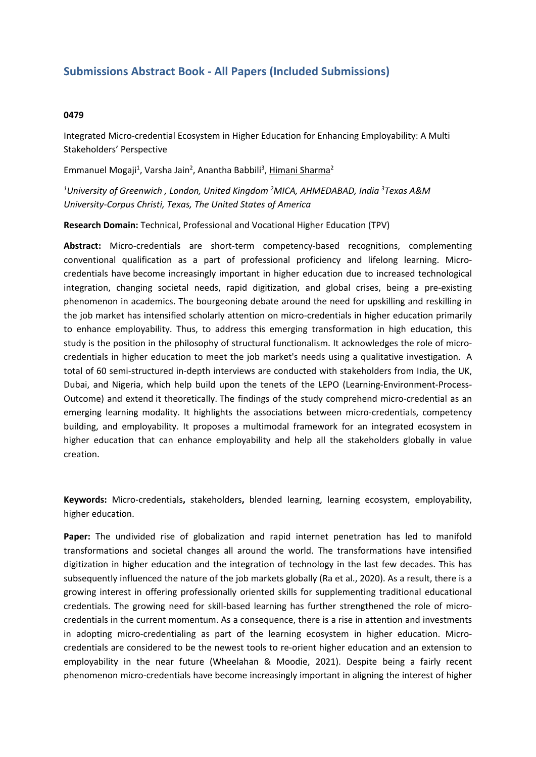## **Submissions Abstract Book - All Papers (Included Submissions)**

## **0479**

Integrated Micro-credential Ecosystem in Higher Education for Enhancing Employability: A Multi Stakeholders' Perspective

Emmanuel Mogaji<sup>1</sup>, Varsha Jain<sup>2</sup>, Anantha Babbili<sup>3</sup>, <u>Himani Sharma</u><sup>2</sup>

*1 University of Greenwich , London, United Kingdom <sup>2</sup>MICA, AHMEDABAD, India <sup>3</sup> Texas A&M University-Corpus Christi, Texas, The United States of America*

**Research Domain:** Technical, Professional and Vocational Higher Education (TPV)

**Abstract:** Micro-credentials are short-term competency-based recognitions, complementing conventional qualification as <sup>a</sup> part of professional proficiency and lifelong learning. Microcredentials have become increasingly important in higher education due to increased technological integration, changing societal needs, rapid digitization, and global crises, being <sup>a</sup> pre-existing phenomenon in academics. The bourgeoning debate around the need for upskilling and reskilling in the job market has intensified scholarly attention on micro-credentials in higher education primarily to enhance employability. Thus, to address this emerging transformation in high education, this study is the position in the philosophy of structural functionalism. It acknowledges the role of microcredentials in higher education to meet the job market's needs using <sup>a</sup> qualitative investigation. A total of 60 semi-structured in-depth interviews are conducted with stakeholders from India, the UK, Dubai, and Nigeria, which help build upon the tenets of the LEPO (Learning-Environment-Process-Outcome) and extend it theoretically. The findings of the study comprehend micro-credential as an emerging learning modality. It highlights the associations between micro-credentials, competency building, and employability. It proposes <sup>a</sup> multimodal framework for an integrated ecosystem in higher education that can enhance employability and help all the stakeholders globally in value creation.

**Keywords:** Micro-credentials**,** stakeholders**,** blended learning, learning ecosystem, employability, higher education.

**Paper:** The undivided rise of globalization and rapid internet penetration has led to manifold transformations and societal changes all around the world. The transformations have intensified digitization in higher education and the integration of technology in the last few decades. This has subsequently influenced the nature of the job markets globally (Ra et al., 2020). As <sup>a</sup> result, there is <sup>a</sup> growing interest in offering professionally oriented skills for supplementing traditional educational credentials. The growing need for skill-based learning has further strengthened the role of microcredentials in the current momentum. As <sup>a</sup> consequence, there is <sup>a</sup> rise in attention and investments in adopting micro-credentialing as part of the learning ecosystem in higher education. Microcredentials are considered to be the newest tools to re-orient higher education and an extension to employability in the near future (Wheelahan & Moodie, 2021). Despite being <sup>a</sup> fairly recent phenomenon micro-credentials have become increasingly important in aligning the interest of higher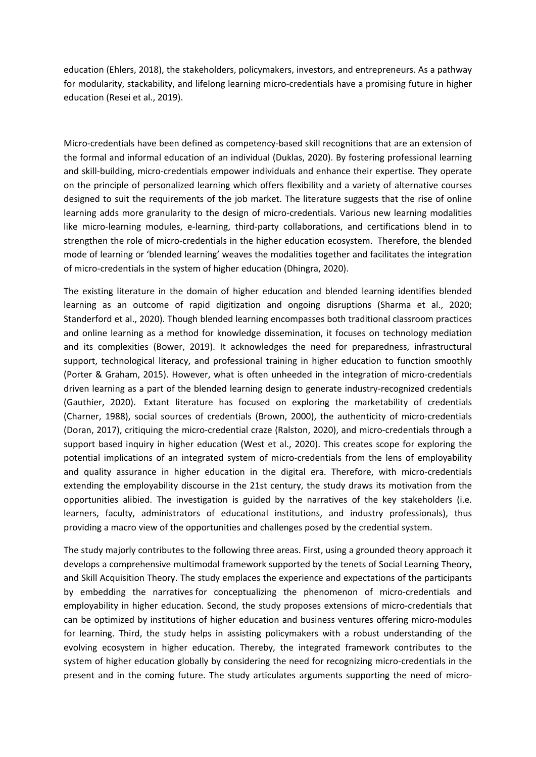education (Ehlers, 2018), the stakeholders, policymakers, investors, and entrepreneurs. As <sup>a</sup> pathway for modularity, stackability, and lifelong learning micro-credentials have <sup>a</sup> promising future in higher education (Resei et al., 2019).

Micro-credentials have been defined as competency-based skill recognitions that are an extension of the formal and informal education of an individual (Duklas, 2020). By fostering professional learning and skill-building, micro-credentials empower individuals and enhance their expertise. They operate on the principle of personalized learning which offers flexibility and <sup>a</sup> variety of alternative courses designed to suit the requirements of the job market. The literature suggests that the rise of online learning adds more granularity to the design of micro-credentials. Various new learning modalities like micro-learning modules, e-learning, third-party collaborations, and certifications blend in to strengthen the role of micro-credentials in the higher education ecosystem. Therefore, the blended mode of learning or 'blended learning' weaves the modalities together and facilitates the integration of micro-credentials in the system of higher education (Dhingra, 2020).

The existing literature in the domain of higher education and blended learning identifies blended learning as an outcome of rapid digitization and ongoing disruptions (Sharma et al., 2020; Standerford et al., 2020). Though blended learning encompasses both traditional classroom practices and online learning as <sup>a</sup> method for knowledge dissemination, it focuses on technology mediation and its complexities (Bower, 2019). It acknowledges the need for preparedness, infrastructural support, technological literacy, and professional training in higher education to function smoothly (Porter & Graham, 2015). However, what is often unheeded in the integration of micro-credentials driven learning as <sup>a</sup> part of the blended learning design to generate industry-recognized credentials (Gauthier, 2020). Extant literature has focused on exploring the marketability of credentials (Charner, 1988), social sources of credentials (Brown, 2000), the authenticity of micro-credentials (Doran, 2017), critiquing the micro-credential craze (Ralston, 2020), and micro-credentials through <sup>a</sup> support based inquiry in higher education (West et al., 2020). This creates scope for exploring the potential implications of an integrated system of micro-credentials from the lens of employability and quality assurance in higher education in the digital era. Therefore, with micro-credentials extending the employability discourse in the 21st century, the study draws its motivation from the opportunities alibied. The investigation is guided by the narratives of the key stakeholders (i.e. learners, faculty, administrators of educational institutions, and industry professionals), thus providing <sup>a</sup> macro view of the opportunities and challenges posed by the credential system.

The study majorly contributes to the following three areas. First, using <sup>a</sup> grounded theory approach it develops <sup>a</sup> comprehensive multimodal framework supported by the tenets of Social Learning Theory, and Skill Acquisition Theory. The study emplaces the experience and expectations of the participants by embedding the narratives for conceptualizing the phenomenon of micro-credentials and employability in higher education. Second, the study proposes extensions of micro-credentials that can be optimized by institutions of higher education and business ventures offering micro-modules for learning. Third, the study helps in assisting policymakers with <sup>a</sup> robust understanding of the evolving ecosystem in higher education. Thereby, the integrated framework contributes to the system of higher education globally by considering the need for recognizing micro-credentials in the present and in the coming future. The study articulates arguments supporting the need of micro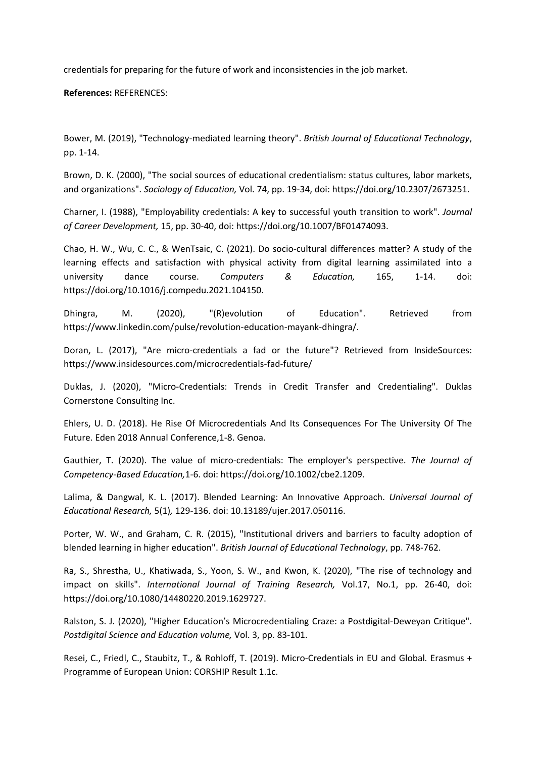credentials for preparing for the future of work and inconsistencies in the job market.

**References:** REFERENCES:

Bower, M. (2019), "Technology-mediated learning theory". *British Journal of Educational Technology*, pp. 1-14.

Brown, D. K. (2000), "The social sources of educational credentialism: status cultures, labor markets, and organizations". *Sociology of Education,* Vol. 74, pp. 19-34, doi: https://doi.org/10.2307/2673251.

Charner, I. (1988), "Employability credentials: A key to successful youth transition to work". *Journal of Career Development,* 15, pp. 30-40, doi: https://doi.org/10.1007/BF01474093.

Chao, H. W., Wu, C. C., & WenTsaic, C. (2021). Do socio-cultural differences matter? A study of the learning effects and satisfaction with physical activity from digital learning assimilated into <sup>a</sup> university dance course. *Computers & Education,* 165, 1-14. doi: https://doi.org/10.1016/j.compedu.2021.104150.

Dhingra, M. (2020), "(R)evolution of Education". Retrieved from https://www.linkedin.com/pulse/revolution-education-mayank-dhingra/.

Doran, L. (2017), "Are micro-credentials <sup>a</sup> fad or the future"? Retrieved from InsideSources: https://www.insidesources.com/microcredentials-fad-future/

Duklas, J. (2020), "Micro-Credentials: Trends in Credit Transfer and Credentialing". Duklas Cornerstone Consulting Inc.

Ehlers, U. D. (2018). He Rise Of Microcredentials And Its Consequences For The University Of The Future. Eden 2018 Annual Conference,1-8. Genoa.

Gauthier, T. (2020). The value of micro-credentials: The employer's perspective. *The Journal of Competency-Based Education,*1-6. doi: https://doi.org/10.1002/cbe2.1209.

Lalima, & Dangwal, K. L. (2017). Blended Learning: An Innovative Approach. *Universal Journal of Educational Research,* 5(1)*,* 129-136. doi: 10.13189/ujer.2017.050116.

Porter, W. W., and Graham, C. R. (2015), "Institutional drivers and barriers to faculty adoption of blended learning in higher education". *British Journal of Educational Technology*, pp. 748-762.

Ra, S., Shrestha, U., Khatiwada, S., Yoon, S. W., and Kwon, K. (2020), "The rise of technology and impact on skills". *International Journal of Training Research,* Vol.17, No.1, pp. 26-40, doi: https://doi.org/10.1080/14480220.2019.1629727.

Ralston, S. J. (2020), "Higher Education's Microcredentialing Craze: <sup>a</sup> Postdigital-Deweyan Critique". *Postdigital Science and Education volume,* Vol. 3, pp. 83-101.

Resei, C., Friedl, C., Staubitz, T., & Rohloff, T. (2019). Micro-Credentials in EU and Global*.* Erasmus <sup>+</sup> Programme of European Union: CORSHIP Result 1.1c.